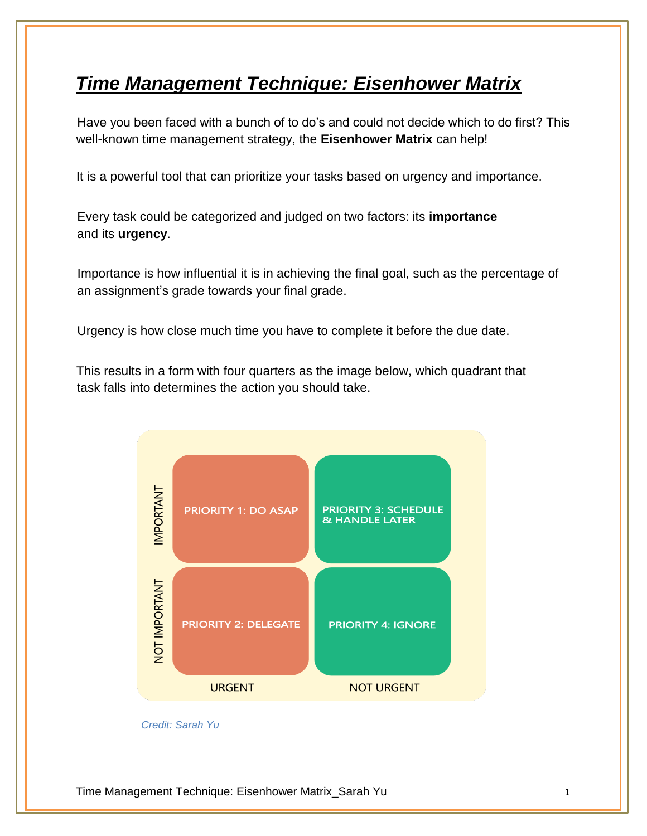## *Time Management Technique: Eisenhower Matrix*

Have you been faced with a bunch of to do's and could not decide which to do first? This well-known time management strategy, the **Eisenhower Matrix** can help!

It is a powerful tool that can prioritize your tasks based on urgency and importance.

Every task could be categorized and judged on two factors: its **importance**  and its **urgency**.

Importance is how influential it is in achieving the final goal, such as the percentage of an assignment's grade towards your final grade.

Urgency is how close much time you have to complete it before the due date.

This results in a form with four quarters as the image below, which quadrant that task falls into determines the action you should take.



*Credit: Sarah Yu*